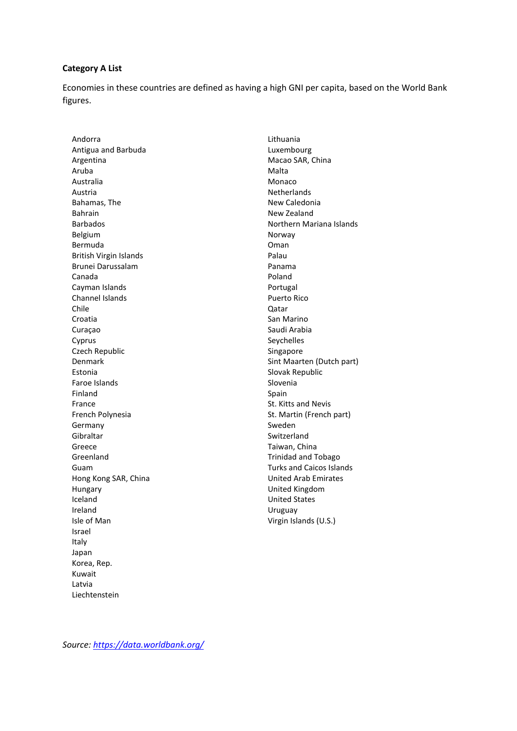## **Category A List**

Economies in these countries are defined as having a high GNI per capita, based on the World Bank figures.

Andorra Antigua and Barbuda Argentina Aruba Australia Austria Bahamas, The Bahrain Barbados Belgium Bermuda British Virgin Islands Brunei Darussalam Canada Cayman Islands Channel Islands Chile Croatia Curaçao Cyprus Czech Republic Denmark Estonia Faroe Islands Finland France French Polynesia Germany Gibraltar Greece Greenland Guam Hong Kong SAR, China Hungary Iceland Ireland Isle of Man Israel Italy Japan Korea, Rep. Kuwait Latvia Liechtenstein

Lithuania Luxembourg Macao SAR, China Malta Monaco Netherlands New Caledonia New Zealand Northern Mariana Islands Norway Oman Palau Panama Poland Portugal Puerto Rico Qatar San Marino Saudi Arabia Seychelles Singapore Sint Maarten (Dutch part) Slovak Republic Slovenia Spain St. Kitts and Nevis St. Martin (French part) Sweden Switzerland Taiwan, China Trinidad and Tobago Turks and Caicos Islands United Arab Emirates United Kingdom United States Uruguay Virgin Islands (U.S.)

*Source:<https://data.worldbank.org/>*